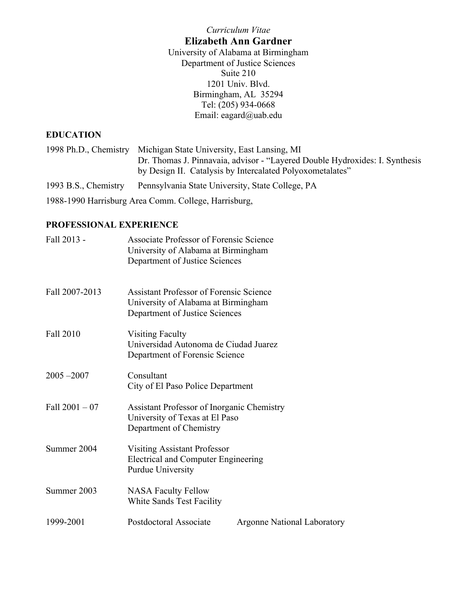#### *Curriculum Vitae*

# **Elizabeth Ann Gardner**

University of Alabama at Birmingham Department of Justice Sciences Suite 210 1201 Univ. Blvd. Birmingham, AL 35294 Tel: (205) 934-0668 Email: eagard@uab.edu

# **EDUCATION**

|                                                      | 1998 Ph.D., Chemistry Michigan State University, East Lansing, MI                                                                        |  |  |
|------------------------------------------------------|------------------------------------------------------------------------------------------------------------------------------------------|--|--|
|                                                      | Dr. Thomas J. Pinnavaia, advisor - "Layered Double Hydroxides: I. Synthesis<br>by Design II. Catalysis by Intercalated Polyoxometalates" |  |  |
| 1993 B.S., Chemistry                                 | Pennsylvania State University, State College, PA                                                                                         |  |  |
| 1988-1990 Harrisburg Area Comm. College, Harrisburg, |                                                                                                                                          |  |  |

## **PROFESSIONAL EXPERIENCE**

| Fall 2013 -      | Associate Professor of Forensic Science<br>University of Alabama at Birmingham<br>Department of Justice Sciences        |                                    |
|------------------|-------------------------------------------------------------------------------------------------------------------------|------------------------------------|
| Fall 2007-2013   | <b>Assistant Professor of Forensic Science</b><br>University of Alabama at Birmingham<br>Department of Justice Sciences |                                    |
| <b>Fall 2010</b> | <b>Visiting Faculty</b><br>Universidad Autonoma de Ciudad Juarez<br>Department of Forensic Science                      |                                    |
| $2005 - 2007$    | Consultant<br>City of El Paso Police Department                                                                         |                                    |
| Fall $2001 - 07$ | <b>Assistant Professor of Inorganic Chemistry</b><br>University of Texas at El Paso<br>Department of Chemistry          |                                    |
| Summer 2004      | <b>Visiting Assistant Professor</b><br>Electrical and Computer Engineering<br><b>Purdue University</b>                  |                                    |
| Summer 2003      | <b>NASA Faculty Fellow</b><br>White Sands Test Facility                                                                 |                                    |
| 1999-2001        | Postdoctoral Associate                                                                                                  | <b>Argonne National Laboratory</b> |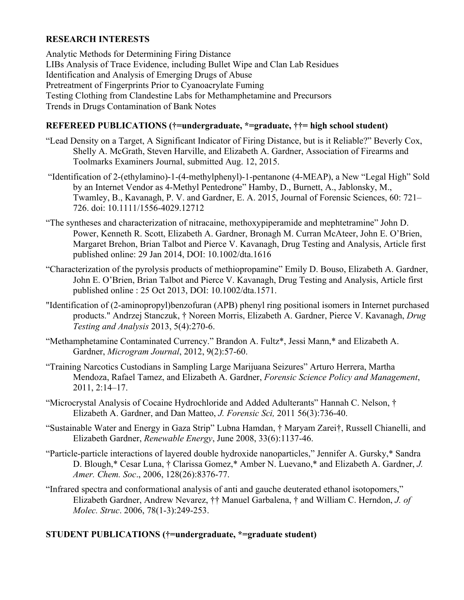## **RESEARCH INTERESTS**

Analytic Methods for Determining Firing Distance LIBs Analysis of Trace Evidence, including Bullet Wipe and Clan Lab Residues Identification and Analysis of Emerging Drugs of Abuse Pretreatment of Fingerprints Prior to Cyanoacrylate Fuming Testing Clothing from Clandestine Labs for Methamphetamine and Precursors Trends in Drugs Contamination of Bank Notes

## **REFEREED PUBLICATIONS (†=undergraduate, \*=graduate, ††= high school student)**

- "Lead Density on a Target, A Significant Indicator of Firing Distance, but is it Reliable?" Beverly Cox, Shelly A. McGrath, Steven Harville, and Elizabeth A. Gardner, Association of Firearms and Toolmarks Examiners Journal, submitted Aug. 12, 2015.
- "Identification of 2-(ethylamino)-1-(4-methylphenyl)-1-pentanone (4-MEAP), a New "Legal High" Sold by an Internet Vendor as 4-Methyl Pentedrone" Hamby, D., Burnett, A., Jablonsky, M., Twamley, B., Kavanagh, P. V. and Gardner, E. A. 2015, Journal of Forensic Sciences, 60: 721– 726. doi: 10.1111/1556-4029.12712
- "The syntheses and characterization of nitracaine, methoxypiperamide and mephtetramine" John D. Power, Kenneth R. Scott, Elizabeth A. Gardner, Bronagh M. Curran McAteer, John E. O'Brien, Margaret Brehon, Brian Talbot and Pierce V. Kavanagh, Drug Testing and Analysis, Article first published online: 29 Jan 2014, DOI: 10.1002/dta.1616
- "Characterization of the pyrolysis products of methiopropamine" Emily D. Bouso, Elizabeth A. Gardner, John E. O'Brien, Brian Talbot and Pierce V. Kavanagh, Drug Testing and Analysis, Article first published online : 25 Oct 2013, DOI: 10.1002/dta.1571.
- "Identification of (2-aminopropyl)benzofuran (APB) phenyl ring positional isomers in Internet purchased products." Andrzej Stanczuk, † Noreen Morris, Elizabeth A. Gardner, Pierce V. Kavanagh, *Drug Testing and Analysis* 2013, 5(4):270-6.
- "Methamphetamine Contaminated Currency." Brandon A. Fultz\*, Jessi Mann,\* and Elizabeth A. Gardner, *Microgram Journal*, 2012, 9(2):57-60.
- "Training Narcotics Custodians in Sampling Large Marijuana Seizures" Arturo Herrera, Martha Mendoza, Rafael Tamez, and Elizabeth A. Gardner, *Forensic Science Policy and Management*, 2011, 2:14–17.
- "Microcrystal Analysis of Cocaine Hydrochloride and Added Adulterants" Hannah C. Nelson, † Elizabeth A. Gardner, and Dan Matteo, *J. Forensic Sci,* 2011 56(3):736-40.
- "Sustainable Water and Energy in Gaza Strip" Lubna Hamdan, † Maryam Zarei†, Russell Chianelli, and Elizabeth Gardner, *Renewable Energy*, June 2008, 33(6):1137-46.
- "Particle-particle interactions of layered double hydroxide nanoparticles," Jennifer A. Gursky,\* Sandra D. Blough,\* Cesar Luna, † Clarissa Gomez,\* Amber N. Luevano,\* and Elizabeth A. Gardner, *J. Amer. Chem. Soc*., 2006, 128(26):8376-77.
- "Infrared spectra and conformational analysis of anti and gauche deuterated ethanol isotopomers," Elizabeth Gardner, Andrew Nevarez, †† Manuel Garbalena, † and William C. Herndon, *J. of Molec. Struc*. 2006, 78(1-3):249-253.

## **STUDENT PUBLICATIONS (†=undergraduate, \*=graduate student)**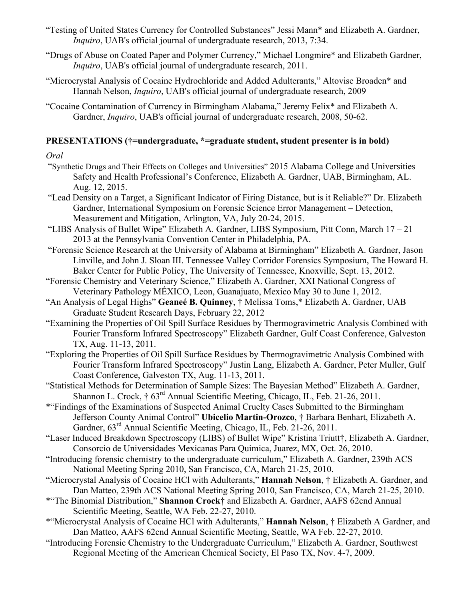- "Testing of United States Currency for Controlled Substances" Jessi Mann\* and Elizabeth A. Gardner, *Inquiro*, UAB's official journal of undergraduate research, 2013, 7:34.
- "Drugs of Abuse on Coated Paper and Polymer Currency," Michael Longmire\* and Elizabeth Gardner, *Inquiro*, UAB's official journal of undergraduate research, 2011.
- "Microcrystal Analysis of Cocaine Hydrochloride and Added Adulterants," Altovise Broaden\* and Hannah Nelson, *Inquiro*, UAB's official journal of undergraduate research, 2009
- "Cocaine Contamination of Currency in Birmingham Alabama," Jeremy Felix\* and Elizabeth A. Gardner, *Inquiro*, UAB's official journal of undergraduate research, 2008, 50-62.

## **PRESENTATIONS (†=undergraduate, \*=graduate student, student presenter is in bold)**

## *Oral*

- "Synthetic Drugs and Their Effects on Colleges and Universities" 2015 Alabama College and Universities Safety and Health Professional's Conference, Elizabeth A. Gardner, UAB, Birmingham, AL. Aug. 12, 2015.
- "Lead Density on a Target, a Significant Indicator of Firing Distance, but is it Reliable?" Dr. Elizabeth Gardner, International Symposium on Forensic Science Error Management – Detection, Measurement and Mitigation, Arlington, VA, July 20-24, 2015.
- "LIBS Analysis of Bullet Wipe" Elizabeth A. Gardner, LIBS Symposium, Pitt Conn, March 17 21 2013 at the Pennsylvania Convention Center in Philadelphia, PA.
- "Forensic Science Research at the University of Alabama at Birmingham" Elizabeth A. Gardner, Jason Linville, and John J. Sloan III. Tennessee Valley Corridor Forensics Symposium, The Howard H. Baker Center for Public Policy, The University of Tennessee, Knoxville, Sept. 13, 2012.
- "Forensic Chemistry and Veterinary Science," Elizabeth A. Gardner, XXI National Congress of Veterinary Pathology MÉXICO, Leon, Guanajuato, Mexico May 30 to June 1, 2012.
- "An Analysis of Legal Highs" **Geaneé B. Quinney**, † Melissa Toms,\* Elizabeth A. Gardner, UAB Graduate Student Research Days, February 22, 2012
- "Examining the Properties of Oil Spill Surface Residues by Thermogravimetric Analysis Combined with Fourier Transform Infrared Spectroscopy" Elizabeth Gardner, Gulf Coast Conference, Galveston TX, Aug. 11-13, 2011.
- "Exploring the Properties of Oil Spill Surface Residues by Thermogravimetric Analysis Combined with Fourier Transform Infrared Spectroscopy" Justin Lang, Elizabeth A. Gardner, Peter Muller, Gulf Coast Conference, Galveston TX, Aug. 11-13, 2011.
- "Statistical Methods for Determination of Sample Sizes: The Bayesian Method" Elizabeth A. Gardner, Shannon L. Crock, †  $63<sup>rd</sup>$  Annual Scientific Meeting, Chicago, IL, Feb. 21-26, 2011.
- \*"Findings of the Examinations of Suspected Animal Cruelty Cases Submitted to the Birmingham Jefferson County Animal Control" **Ubicelio Martin-Orozco**, † Barbara Benhart, Elizabeth A. Gardner,  $63^{\text{rd}}$  Annual Scientific Meeting, Chicago, IL, Feb. 21-26, 2011.
- "Laser Induced Breakdown Spectroscopy (LIBS) of Bullet Wipe" Kristina Triutt†, Elizabeth A. Gardner, Consorcio de Universidades Mexicanas Para Quimica, Juarez, MX, Oct. 26, 2010.
- "Introducing forensic chemistry to the undergraduate curriculum," Elizabeth A. Gardner, 239th ACS National Meeting Spring 2010, San Francisco, CA, March 21-25, 2010.
- "Microcrystal Analysis of Cocaine HCl with Adulterants," **Hannah Nelson**, † Elizabeth A. Gardner, and Dan Matteo, 239th ACS National Meeting Spring 2010, San Francisco, CA, March 21-25, 2010.
- \*"The Binomial Distribution," **Shannon Crock**† and Elizabeth A. Gardner, AAFS 62cnd Annual Scientific Meeting, Seattle, WA Feb. 22-27, 2010.
- \*"Microcrystal Analysis of Cocaine HCl with Adulterants," **Hannah Nelson**, † Elizabeth A Gardner, and Dan Matteo, AAFS 62cnd Annual Scientific Meeting, Seattle, WA Feb. 22-27, 2010.
- "Introducing Forensic Chemistry to the Undergraduate Curriculum," Elizabeth A. Gardner, Southwest Regional Meeting of the American Chemical Society, El Paso TX, Nov. 4-7, 2009.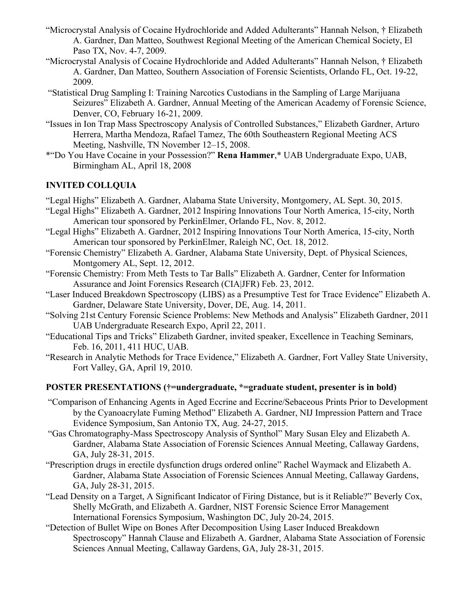- "Microcrystal Analysis of Cocaine Hydrochloride and Added Adulterants" Hannah Nelson, † Elizabeth A. Gardner, Dan Matteo, Southwest Regional Meeting of the American Chemical Society, El Paso TX, Nov. 4-7, 2009.
- "Microcrystal Analysis of Cocaine Hydrochloride and Added Adulterants" Hannah Nelson, † Elizabeth A. Gardner, Dan Matteo, Southern Association of Forensic Scientists, Orlando FL, Oct. 19-22, 2009.
- "Statistical Drug Sampling I: Training Narcotics Custodians in the Sampling of Large Marijuana Seizures" Elizabeth A. Gardner, Annual Meeting of the American Academy of Forensic Science, Denver, CO, February 16-21, 2009.
- "Issues in Ion Trap Mass Spectroscopy Analysis of Controlled Substances," Elizabeth Gardner, Arturo Herrera, Martha Mendoza, Rafael Tamez, The 60th Southeastern Regional Meeting ACS Meeting, Nashville, TN November 12–15, 2008.
- \*"Do You Have Cocaine in your Possession?" **Rena Hammer**,\* UAB Undergraduate Expo, UAB, Birmingham AL, April 18, 2008

## **INVITED COLLQUIA**

- "Legal Highs" Elizabeth A. Gardner, Alabama State University, Montgomery, AL Sept. 30, 2015.
- "Legal Highs" Elizabeth A. Gardner, 2012 Inspiring Innovations Tour North America, 15-city, North American tour sponsored by PerkinElmer, Orlando FL, Nov. 8, 2012.
- "Legal Highs" Elizabeth A. Gardner, 2012 Inspiring Innovations Tour North America, 15-city, North American tour sponsored by PerkinElmer, Raleigh NC, Oct. 18, 2012.
- "Forensic Chemistry" Elizabeth A. Gardner, Alabama State University, Dept. of Physical Sciences, Montgomery AL, Sept. 12, 2012.
- "Forensic Chemistry: From Meth Tests to Tar Balls" Elizabeth A. Gardner, Center for Information Assurance and Joint Forensics Research (CIA|JFR) Feb. 23, 2012.
- "Laser Induced Breakdown Spectroscopy (LIBS) as a Presumptive Test for Trace Evidence" Elizabeth A. Gardner, Delaware State University, Dover, DE, Aug. 14, 2011.
- "Solving 21st Century Forensic Science Problems: New Methods and Analysis" Elizabeth Gardner, 2011 UAB Undergraduate Research Expo, April 22, 2011.
- "Educational Tips and Tricks" Elizabeth Gardner, invited speaker, Excellence in Teaching Seminars, Feb. 16, 2011, 411 HUC, UAB.
- "Research in Analytic Methods for Trace Evidence," Elizabeth A. Gardner, Fort Valley State University, Fort Valley, GA, April 19, 2010.

## **POSTER PRESENTATIONS (†=undergraduate, \*=graduate student, presenter is in bold)**

- "Comparison of Enhancing Agents in Aged Eccrine and Eccrine/Sebaceous Prints Prior to Development by the Cyanoacrylate Fuming Method" Elizabeth A. Gardner, NIJ Impression Pattern and Trace Evidence Symposium, San Antonio TX, Aug. 24-27, 2015.
- "Gas Chromatography-Mass Spectroscopy Analysis of Synthol" Mary Susan Eley and Elizabeth A. Gardner, Alabama State Association of Forensic Sciences Annual Meeting, Callaway Gardens, GA, July 28-31, 2015.
- "Prescription drugs in erectile dysfunction drugs ordered online" Rachel Waymack and Elizabeth A. Gardner, Alabama State Association of Forensic Sciences Annual Meeting, Callaway Gardens, GA, July 28-31, 2015.
- "Lead Density on a Target, A Significant Indicator of Firing Distance, but is it Reliable?" Beverly Cox, Shelly McGrath, and Elizabeth A. Gardner, NIST Forensic Science Error Management International Forensics Symposium, Washington DC, July 20-24, 2015.
- "Detection of Bullet Wipe on Bones After Decomposition Using Laser Induced Breakdown Spectroscopy" Hannah Clause and Elizabeth A. Gardner, Alabama State Association of Forensic Sciences Annual Meeting, Callaway Gardens, GA, July 28-31, 2015.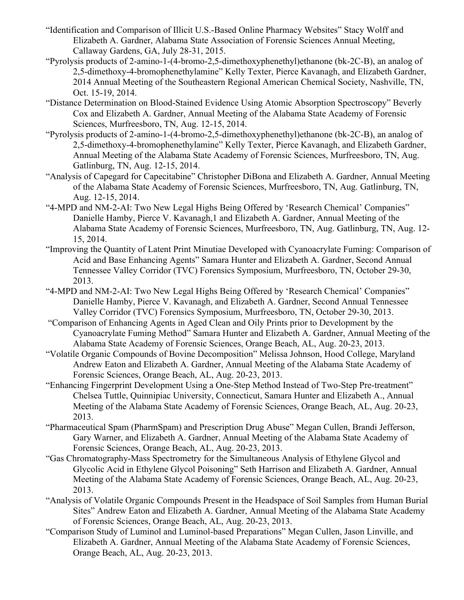- "Identification and Comparison of Illicit U.S.-Based Online Pharmacy Websites" Stacy Wolff and Elizabeth A. Gardner, Alabama State Association of Forensic Sciences Annual Meeting, Callaway Gardens, GA, July 28-31, 2015.
- "Pyrolysis products of 2-amino-1-(4-bromo-2,5-dimethoxyphenethyl)ethanone (bk-2C-B), an analog of 2,5-dimethoxy-4-bromophenethylamine" Kelly Texter, Pierce Kavanagh, and Elizabeth Gardner, 2014 Annual Meeting of the Southeastern Regional American Chemical Society, Nashville, TN, Oct. 15-19, 2014.
- "Distance Determination on Blood-Stained Evidence Using Atomic Absorption Spectroscopy" Beverly Cox and Elizabeth A. Gardner, Annual Meeting of the Alabama State Academy of Forensic Sciences, Murfreesboro, TN, Aug. 12-15, 2014.
- "Pyrolysis products of 2-amino-1-(4-bromo-2,5-dimethoxyphenethyl)ethanone (bk-2C-B), an analog of 2,5-dimethoxy-4-bromophenethylamine" Kelly Texter, Pierce Kavanagh, and Elizabeth Gardner, Annual Meeting of the Alabama State Academy of Forensic Sciences, Murfreesboro, TN, Aug. Gatlinburg, TN, Aug. 12-15, 2014.
- "Analysis of Capegard for Capecitabine" Christopher DiBona and Elizabeth A. Gardner, Annual Meeting of the Alabama State Academy of Forensic Sciences, Murfreesboro, TN, Aug. Gatlinburg, TN, Aug. 12-15, 2014.
- "4-MPD and NM-2-AI: Two New Legal Highs Being Offered by 'Research Chemical' Companies" Danielle Hamby, Pierce V. Kavanagh,1 and Elizabeth A. Gardner, Annual Meeting of the Alabama State Academy of Forensic Sciences, Murfreesboro, TN, Aug. Gatlinburg, TN, Aug. 12- 15, 2014.
- "Improving the Quantity of Latent Print Minutiae Developed with Cyanoacrylate Fuming: Comparison of Acid and Base Enhancing Agents" Samara Hunter and Elizabeth A. Gardner, Second Annual Tennessee Valley Corridor (TVC) Forensics Symposium, Murfreesboro, TN, October 29-30, 2013.
- "4-MPD and NM-2-AI: Two New Legal Highs Being Offered by 'Research Chemical' Companies" Danielle Hamby, Pierce V. Kavanagh, and Elizabeth A. Gardner, Second Annual Tennessee Valley Corridor (TVC) Forensics Symposium, Murfreesboro, TN, October 29-30, 2013.
- "Comparison of Enhancing Agents in Aged Clean and Oily Prints prior to Development by the Cyanoacrylate Fuming Method" Samara Hunter and Elizabeth A. Gardner, Annual Meeting of the Alabama State Academy of Forensic Sciences, Orange Beach, AL, Aug. 20-23, 2013.
- "Volatile Organic Compounds of Bovine Decomposition" Melissa Johnson, Hood College, Maryland Andrew Eaton and Elizabeth A. Gardner, Annual Meeting of the Alabama State Academy of Forensic Sciences, Orange Beach, AL, Aug. 20-23, 2013.
- "Enhancing Fingerprint Development Using a One-Step Method Instead of Two-Step Pre-treatment" Chelsea Tuttle, Quinnipiac University, Connecticut, Samara Hunter and Elizabeth A., Annual Meeting of the Alabama State Academy of Forensic Sciences, Orange Beach, AL, Aug. 20-23, 2013.
- "Pharmaceutical Spam (PharmSpam) and Prescription Drug Abuse" Megan Cullen, Brandi Jefferson, Gary Warner, and Elizabeth A. Gardner, Annual Meeting of the Alabama State Academy of Forensic Sciences, Orange Beach, AL, Aug. 20-23, 2013.
- "Gas Chromatography-Mass Spectrometry for the Simultaneous Analysis of Ethylene Glycol and Glycolic Acid in Ethylene Glycol Poisoning" Seth Harrison and Elizabeth A. Gardner, Annual Meeting of the Alabama State Academy of Forensic Sciences, Orange Beach, AL, Aug. 20-23, 2013.
- "Analysis of Volatile Organic Compounds Present in the Headspace of Soil Samples from Human Burial Sites" Andrew Eaton and Elizabeth A. Gardner, Annual Meeting of the Alabama State Academy of Forensic Sciences, Orange Beach, AL, Aug. 20-23, 2013.
- "Comparison Study of Luminol and Luminol-based Preparations" Megan Cullen, Jason Linville, and Elizabeth A. Gardner, Annual Meeting of the Alabama State Academy of Forensic Sciences, Orange Beach, AL, Aug. 20-23, 2013.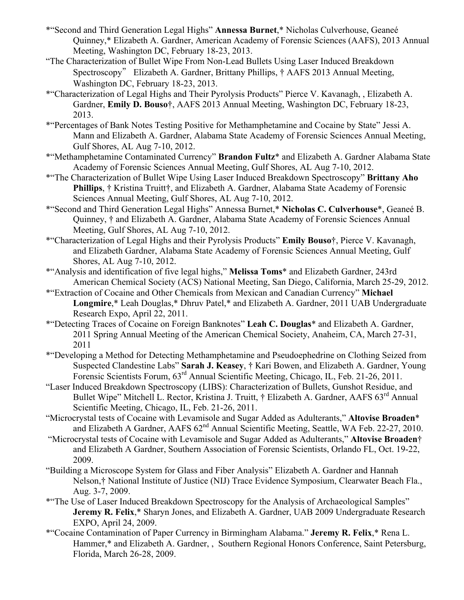- \*"Second and Third Generation Legal Highs" **Annessa Burnet**,\* Nicholas Culverhouse, Geaneé Quinney,\* Elizabeth A. Gardner, American Academy of Forensic Sciences (AAFS), 2013 Annual Meeting, Washington DC, February 18-23, 2013.
- "The Characterization of Bullet Wipe From Non-Lead Bullets Using Laser Induced Breakdown Spectroscopy" Elizabeth A. Gardner, Brittany Phillips, † AAFS 2013 Annual Meeting, Washington DC, February 18-23, 2013.
- \*"Characterization of Legal Highs and Their Pyrolysis Products" Pierce V. Kavanagh, , Elizabeth A. Gardner, **Emily D. Bouso**†, AAFS 2013 Annual Meeting, Washington DC, February 18-23, 2013.
- \*"Percentages of Bank Notes Testing Positive for Methamphetamine and Cocaine by State" Jessi A. Mann and Elizabeth A. Gardner, Alabama State Academy of Forensic Sciences Annual Meeting, Gulf Shores, AL Aug 7-10, 2012.
- \*"Methamphetamine Contaminated Currency" **Brandon Fultz**\* and Elizabeth A. Gardner Alabama State Academy of Forensic Sciences Annual Meeting, Gulf Shores, AL Aug 7-10, 2012.
- \*"The Characterization of Bullet Wipe Using Laser Induced Breakdown Spectroscopy" **Brittany Aho Phillips**, † Kristina Truitt†, and Elizabeth A. Gardner, Alabama State Academy of Forensic Sciences Annual Meeting, Gulf Shores, AL Aug 7-10, 2012.
- \*"Second and Third Generation Legal Highs" Annessa Burnet,\* **Nicholas C. Culverhouse**\*, Geaneé B. Quinney, † and Elizabeth A. Gardner, Alabama State Academy of Forensic Sciences Annual Meeting, Gulf Shores, AL Aug 7-10, 2012.
- \*"Characterization of Legal Highs and their Pyrolysis Products" **Emily Bouso**†, Pierce V. Kavanagh, and Elizabeth Gardner, Alabama State Academy of Forensic Sciences Annual Meeting, Gulf Shores, AL Aug 7-10, 2012.
- \*"Analysis and identification of five legal highs," **Melissa Toms**\* and Elizabeth Gardner, 243rd American Chemical Society (ACS) National Meeting, San Diego, California, March 25-29, 2012.
- \*"Extraction of Cocaine and Other Chemicals from Mexican and Canadian Currency" **Michael Longmire**,\* Leah Douglas,\* Dhruv Patel,\* and Elizabeth A. Gardner, 2011 UAB Undergraduate Research Expo, April 22, 2011.
- \*"Detecting Traces of Cocaine on Foreign Banknotes" **Leah C. Douglas**\* and Elizabeth A. Gardner, 2011 Spring Annual Meeting of the American Chemical Society, Anaheim, CA, March 27-31, 2011
- \*"Developing a Method for Detecting Methamphetamine and Pseudoephedrine on Clothing Seized from Suspected Clandestine Labs" **Sarah J. Keasey**, † Kari Bowen, and Elizabeth A. Gardner, Young Forensic Scientists Forum, 63rd Annual Scientific Meeting, Chicago, IL, Feb. 21-26, 2011.
- "Laser Induced Breakdown Spectroscopy (LIBS): Characterization of Bullets, Gunshot Residue, and Bullet Wipe" Mitchell L. Rector, Kristina J. Truitt, † Elizabeth A. Gardner, AAFS 63<sup>rd</sup> Annual Scientific Meeting, Chicago, IL, Feb. 21-26, 2011.
- "Microcrystal tests of Cocaine with Levamisole and Sugar Added as Adulterants," **Altovise Broaden**\* and Elizabeth A Gardner, AAFS  $62<sup>nd</sup>$  Annual Scientific Meeting, Seattle, WA Feb. 22-27, 2010.
- "Microcrystal tests of Cocaine with Levamisole and Sugar Added as Adulterants," **Altovise Broaden**† and Elizabeth A Gardner, Southern Association of Forensic Scientists, Orlando FL, Oct. 19-22, 2009.
- "Building a Microscope System for Glass and Fiber Analysis" Elizabeth A. Gardner and Hannah Nelson,† National Institute of Justice (NIJ) Trace Evidence Symposium, Clearwater Beach Fla., Aug. 3-7, 2009.
- \*"The Use of Laser Induced Breakdown Spectroscopy for the Analysis of Archaeological Samples" **Jeremy R. Felix**,\* Sharyn Jones, and Elizabeth A. Gardner, UAB 2009 Undergraduate Research EXPO, April 24, 2009.
- \*"Cocaine Contamination of Paper Currency in Birmingham Alabama." **Jeremy R. Felix**,\* Rena L. Hammer,\* and Elizabeth A. Gardner, , Southern Regional Honors Conference, Saint Petersburg, Florida, March 26-28, 2009.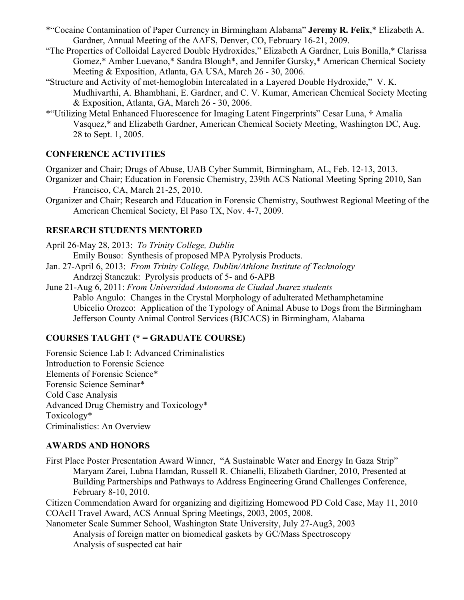- \*"Cocaine Contamination of Paper Currency in Birmingham Alabama" **Jeremy R. Felix**,\* Elizabeth A. Gardner, Annual Meeting of the AAFS, Denver, CO, February 16-21, 2009.
- "The Properties of Colloidal Layered Double Hydroxides," Elizabeth A Gardner, Luis Bonilla,\* Clarissa Gomez,\* Amber Luevano,\* Sandra Blough\*, and Jennifer Gursky,\* American Chemical Society Meeting & Exposition, Atlanta, GA USA, March 26 - 30, 2006.
- "Structure and Activity of met-hemoglobin Intercalated in a Layered Double Hydroxide," V. K. Mudhivarthi, A. Bhambhani, E. Gardner, and C. V. Kumar, American Chemical Society Meeting & Exposition, Atlanta, GA, March 26 - 30, 2006.
- \*"Utilizing Metal Enhanced Fluorescence for Imaging Latent Fingerprints" Cesar Luna, † Amalia Vasquez,\* and Elizabeth Gardner, American Chemical Society Meeting, Washington DC, Aug. 28 to Sept. 1, 2005.

## **CONFERENCE ACTIVITIES**

Organizer and Chair; Drugs of Abuse, UAB Cyber Summit, Birmingham, AL, Feb. 12-13, 2013.

- Organizer and Chair; Education in Forensic Chemistry, 239th ACS National Meeting Spring 2010, San Francisco, CA, March 21-25, 2010.
- Organizer and Chair; Research and Education in Forensic Chemistry, Southwest Regional Meeting of the American Chemical Society, El Paso TX, Nov. 4-7, 2009.

## **RESEARCH STUDENTS MENTORED**

April 26-May 28, 2013: *To Trinity College, Dublin* Emily Bouso: Synthesis of proposed MPA Pyrolysis Products. Jan. 27-April 6, 2013: *From Trinity College, Dublin/Athlone Institute of Technology*

- Andrzej Stanczuk: Pyrolysis products of 5- and 6-APB
- June 21-Aug 6, 2011: *From Universidad Autonoma de Ciudad Juarez students* Pablo Angulo: Changes in the Crystal Morphology of adulterated Methamphetamine Ubicelio Orozco: Application of the Typology of Animal Abuse to Dogs from the Birmingham Jefferson County Animal Control Services (BJCACS) in Birmingham, Alabama

## **COURSES TAUGHT (\* = GRADUATE COURSE)**

Forensic Science Lab I: Advanced Criminalistics Introduction to Forensic Science Elements of Forensic Science\* Forensic Science Seminar\* Cold Case Analysis Advanced Drug Chemistry and Toxicology\* Toxicology\* Criminalistics: An Overview

## **AWARDS AND HONORS**

First Place Poster Presentation Award Winner, "A Sustainable Water and Energy In Gaza Strip" Maryam Zarei, Lubna Hamdan, Russell R. Chianelli, Elizabeth Gardner, 2010, Presented at Building Partnerships and Pathways to Address Engineering Grand Challenges Conference, February 8-10, 2010.

Citizen Commendation Award for organizing and digitizing Homewood PD Cold Case, May 11, 2010 COAcH Travel Award, ACS Annual Spring Meetings, 2003, 2005, 2008.

Nanometer Scale Summer School, Washington State University, July 27-Aug3, 2003 Analysis of foreign matter on biomedical gaskets by GC/Mass Spectroscopy Analysis of suspected cat hair